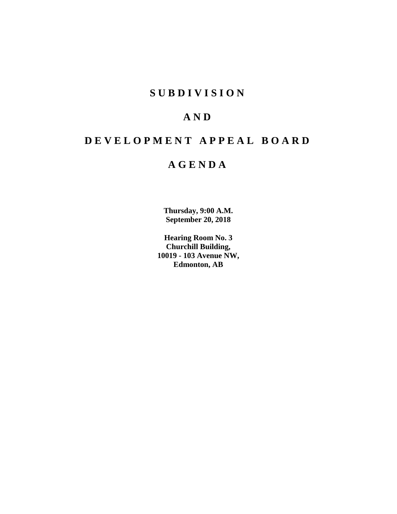## **S U B D I V I S I O N**

## **A N D**

# **D E V E L O P M E N T A P P E A L B O A R D**

## **A G E N D A**

**Thursday, 9:00 A.M. September 20, 2018**

**Hearing Room No. 3 Churchill Building, 10019 - 103 Avenue NW, Edmonton, AB**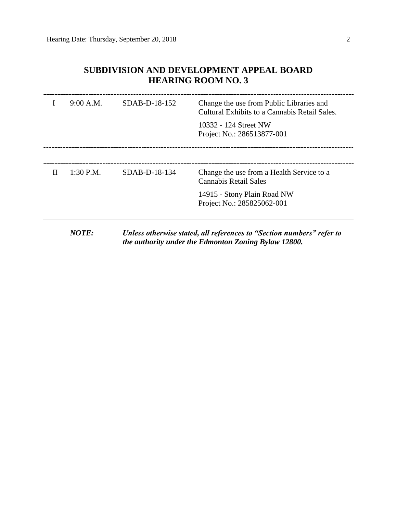## **SUBDIVISION AND DEVELOPMENT APPEAL BOARD HEARING ROOM NO. 3**

| 9:00 A.M.   | $SDAB-D-18-152$ | Change the use from Public Libraries and<br>Cultural Exhibits to a Cannabis Retail Sales. |
|-------------|-----------------|-------------------------------------------------------------------------------------------|
|             |                 | 10332 - 124 Street NW<br>Project No.: 286513877-001                                       |
|             |                 |                                                                                           |
| $1:30$ P.M. | $SDAB-D-18-134$ | Change the use from a Health Service to a<br><b>Cannabis Retail Sales</b>                 |
|             |                 | 14915 - Stony Plain Road NW<br>Project No.: 285825062-001                                 |
|             |                 |                                                                                           |

*NOTE: Unless otherwise stated, all references to "Section numbers" refer to the authority under the Edmonton Zoning Bylaw 12800.*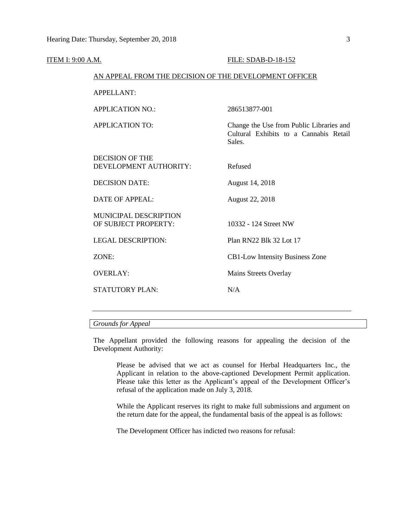| <b>ITEM I: 9:00 A.M.</b> |                                                        | FILE: SDAB-D-18-152                                                                          |  |  |
|--------------------------|--------------------------------------------------------|----------------------------------------------------------------------------------------------|--|--|
|                          | AN APPEAL FROM THE DECISION OF THE DEVELOPMENT OFFICER |                                                                                              |  |  |
|                          | APPELLANT:                                             |                                                                                              |  |  |
|                          | <b>APPLICATION NO.:</b>                                | 286513877-001                                                                                |  |  |
|                          | <b>APPLICATION TO:</b>                                 | Change the Use from Public Libraries and<br>Cultural Exhibits to a Cannabis Retail<br>Sales. |  |  |
|                          | <b>DECISION OF THE</b><br>DEVELOPMENT AUTHORITY:       | Refused                                                                                      |  |  |
|                          | <b>DECISION DATE:</b>                                  | August 14, 2018                                                                              |  |  |
|                          | <b>DATE OF APPEAL:</b>                                 | August 22, 2018                                                                              |  |  |
|                          | <b>MUNICIPAL DESCRIPTION</b><br>OF SUBJECT PROPERTY:   | 10332 - 124 Street NW                                                                        |  |  |
|                          | <b>LEGAL DESCRIPTION:</b>                              | Plan RN22 Blk 32 Lot 17                                                                      |  |  |
|                          | ZONE:                                                  | CB1-Low Intensity Business Zone                                                              |  |  |
|                          | <b>OVERLAY:</b>                                        | Mains Streets Overlay                                                                        |  |  |
|                          | <b>STATUTORY PLAN:</b>                                 | N/A                                                                                          |  |  |
|                          |                                                        |                                                                                              |  |  |

### *Grounds for Appeal*

The Appellant provided the following reasons for appealing the decision of the Development Authority:

Please be advised that we act as counsel for Herbal Headquarters Inc., the Applicant in relation to the above-captioned Development Permit application. Please take this letter as the Applicant's appeal of the Development Officer's refusal of the application made on July 3, 2018.

While the Applicant reserves its right to make full submissions and argument on the return date for the appeal, the fundamental basis of the appeal is as follows:

The Development Officer has indicted two reasons for refusal: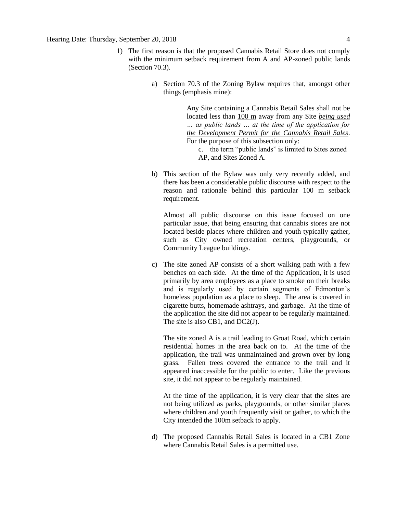- 1) The first reason is that the proposed Cannabis Retail Store does not comply with the minimum setback requirement from A and AP-zoned public lands (Section 70.3).
	- a) Section 70.3 of the Zoning Bylaw requires that, amongst other things (emphasis mine):

Any Site containing a Cannabis Retail Sales shall not be located less than 100 m away from any Site *being used … as public lands … at the time of the application for the Development Permit for the Cannabis Retail Sales*. For the purpose of this subsection only:

c. the term "public lands" is limited to Sites zoned AP, and Sites Zoned A.

b) This section of the Bylaw was only very recently added, and there has been a considerable public discourse with respect to the reason and rationale behind this particular 100 m setback requirement.

Almost all public discourse on this issue focused on one particular issue, that being ensuring that cannabis stores are not located beside places where children and youth typically gather, such as City owned recreation centers, playgrounds, or Community League buildings.

c) The site zoned AP consists of a short walking path with a few benches on each side. At the time of the Application, it is used primarily by area employees as a place to smoke on their breaks and is regularly used by certain segments of Edmonton's homeless population as a place to sleep. The area is covered in cigarette butts, homemade ashtrays, and garbage. At the time of the application the site did not appear to be regularly maintained. The site is also CB1, and DC2(J).

The site zoned A is a trail leading to Groat Road, which certain residential homes in the area back on to. At the time of the application, the trail was unmaintained and grown over by long grass. Fallen trees covered the entrance to the trail and it appeared inaccessible for the public to enter. Like the previous site, it did not appear to be regularly maintained.

At the time of the application, it is very clear that the sites are not being utilized as parks, playgrounds, or other similar places where children and youth frequently visit or gather, to which the City intended the 100m setback to apply.

d) The proposed Cannabis Retail Sales is located in a CB1 Zone where Cannabis Retail Sales is a permitted use.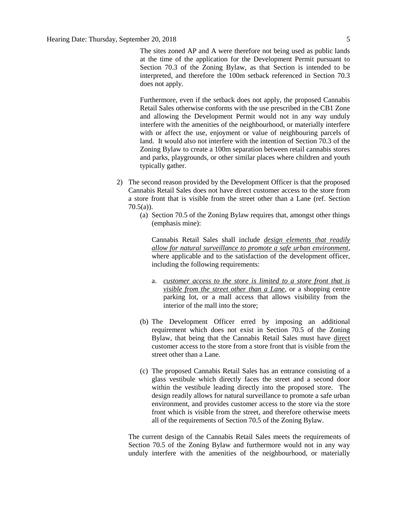The sites zoned AP and A were therefore not being used as public lands at the time of the application for the Development Permit pursuant to Section 70.3 of the Zoning Bylaw, as that Section is intended to be interpreted, and therefore the 100m setback referenced in Section 70.3 does not apply.

Furthermore, even if the setback does not apply, the proposed Cannabis Retail Sales otherwise conforms with the use prescribed in the CB1 Zone and allowing the Development Permit would not in any way unduly interfere with the amenities of the neighbourhood, or materially interfere with or affect the use, enjoyment or value of neighbouring parcels of land. It would also not interfere with the intention of Section 70.3 of the Zoning Bylaw to create a 100m separation between retail cannabis stores and parks, playgrounds, or other similar places where children and youth typically gather.

- 2) The second reason provided by the Development Officer is that the proposed Cannabis Retail Sales does not have direct customer access to the store from a store front that is visible from the street other than a Lane (ref. Section  $70.5(a)$ ).
	- (a) Section 70.5 of the Zoning Bylaw requires that, amongst other things (emphasis mine):

Cannabis Retail Sales shall include *design elements that readily allow for natural surveillance to promote a safe urban environment*, where applicable and to the satisfaction of the development officer, including the following requirements:

- a. *customer access to the store is limited to a store front that is visible from the street other than a Lane*, or a shopping centre parking lot, or a mall access that allows visibility from the interior of the mall into the store;
- (b) The Development Officer erred by imposing an additional requirement which does not exist in Section 70.5 of the Zoning Bylaw, that being that the Cannabis Retail Sales must have direct customer access to the store from a store front that is visible from the street other than a Lane.
- (c) The proposed Cannabis Retail Sales has an entrance consisting of a glass vestibule which directly faces the street and a second door within the vestibule leading directly into the proposed store. The design readily allows for natural surveillance to promote a safe urban environment, and provides customer access to the store via the store front which is visible from the street, and therefore otherwise meets all of the requirements of Section 70.5 of the Zoning Bylaw.

The current design of the Cannabis Retail Sales meets the requirements of Section 70.5 of the Zoning Bylaw and furthermore would not in any way unduly interfere with the amenities of the neighbourhood, or materially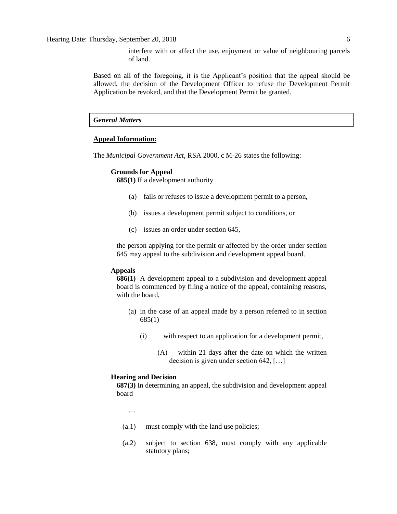Hearing Date: Thursday, September 20, 2018 6

interfere with or affect the use, enjoyment or value of neighbouring parcels of land.

Based on all of the foregoing, it is the Applicant's position that the appeal should be allowed, the decision of the Development Officer to refuse the Development Permit Application be revoked, and that the Development Permit be granted.

### *General Matters*

### **Appeal Information:**

The *Municipal Government Act*, RSA 2000, c M-26 states the following:

### **Grounds for Appeal**

**685(1)** If a development authority

- (a) fails or refuses to issue a development permit to a person,
- (b) issues a development permit subject to conditions, or
- (c) issues an order under section 645,

the person applying for the permit or affected by the order under section 645 may appeal to the subdivision and development appeal board.

### **Appeals**

**686(1)** A development appeal to a subdivision and development appeal board is commenced by filing a notice of the appeal, containing reasons, with the board,

- (a) in the case of an appeal made by a person referred to in section 685(1)
	- (i) with respect to an application for a development permit,
		- (A) within 21 days after the date on which the written decision is given under section 642, […]

### **Hearing and Decision**

**687(3)** In determining an appeal, the subdivision and development appeal board

…

- (a.1) must comply with the land use policies;
- (a.2) subject to section 638, must comply with any applicable statutory plans;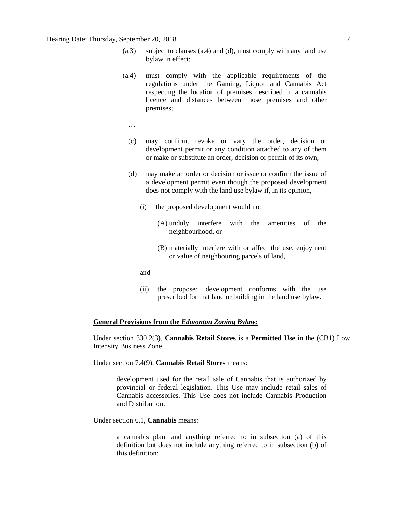- (a.3) subject to clauses (a.4) and (d), must comply with any land use bylaw in effect;
- (a.4) must comply with the applicable requirements of the regulations under the Gaming, Liquor and Cannabis Act respecting the location of premises described in a cannabis licence and distances between those premises and other premises;
	- …
	- (c) may confirm, revoke or vary the order, decision or development permit or any condition attached to any of them or make or substitute an order, decision or permit of its own;
	- (d) may make an order or decision or issue or confirm the issue of a development permit even though the proposed development does not comply with the land use bylaw if, in its opinion,
		- (i) the proposed development would not
			- (A) unduly interfere with the amenities of the neighbourhood, or
			- (B) materially interfere with or affect the use, enjoyment or value of neighbouring parcels of land,
		- and
		- (ii) the proposed development conforms with the use prescribed for that land or building in the land use bylaw.

### **General Provisions from the** *Edmonton Zoning Bylaw:*

Under section 330.2(3), **Cannabis Retail Stores** is a **Permitted Use** in the (CB1) Low Intensity Business Zone.

Under section 7.4(9), **Cannabis Retail Stores** means:

development used for the retail sale of Cannabis that is authorized by provincial or federal legislation. This Use may include retail sales of Cannabis accessories. This Use does not include Cannabis Production and Distribution.

Under section 6.1, **Cannabis** means:

a cannabis plant and anything referred to in subsection (a) of this definition but does not include anything referred to in subsection (b) of this definition: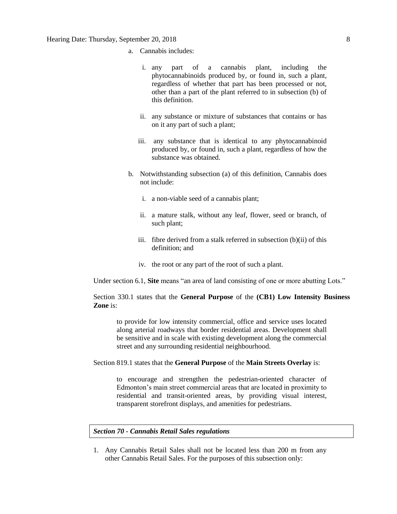- a. Cannabis includes:
	- i. any part of a cannabis plant, including the phytocannabinoids produced by, or found in, such a plant, regardless of whether that part has been processed or not, other than a part of the plant referred to in subsection (b) of this definition.
	- ii. any substance or mixture of substances that contains or has on it any part of such a plant;
	- iii. any substance that is identical to any phytocannabinoid produced by, or found in, such a plant, regardless of how the substance was obtained.
- b. Notwithstanding subsection (a) of this definition, Cannabis does not include:
	- i. a non-viable seed of a cannabis plant;
	- ii. a mature stalk, without any leaf, flower, seed or branch, of such plant;
	- iii. fibre derived from a stalk referred in subsection (b)(ii) of this definition; and
	- iv. the root or any part of the root of such a plant.

Under section 6.1, **Site** means "an area of land consisting of one or more abutting Lots."

Section 330.1 states that the **General Purpose** of the **(CB1) Low Intensity Business Zone** is:

to provide for low intensity commercial, office and service uses located along arterial roadways that border residential areas. Development shall be sensitive and in scale with existing development along the commercial street and any surrounding residential neighbourhood.

Section 819.1 states that the **General Purpose** of the **Main Streets Overlay** is:

to encourage and strengthen the pedestrian-oriented character of Edmonton's main street commercial areas that are located in proximity to residential and transit-oriented areas, by providing visual interest, transparent storefront displays, and amenities for pedestrians.

### *Section 70 - Cannabis Retail Sales regulations*

1. Any Cannabis Retail Sales shall not be located less than 200 m from any other Cannabis Retail Sales. For the purposes of this subsection only: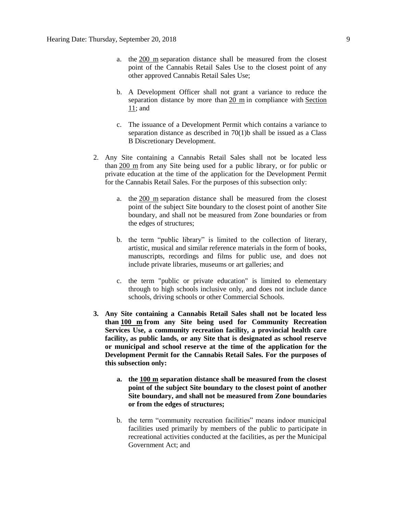- a. the [200 m](javascript:void(0);) separation distance shall be measured from the closest point of the Cannabis Retail Sales Use to the closest point of any other approved Cannabis Retail Sales Use;
- b. A Development Officer shall not grant a variance to reduce the separation distance by more than [20 m](javascript:void(0);) in compliance with [Section](https://webdocs.edmonton.ca/InfraPlan/zoningbylaw/ZoningBylaw/Part1/Administrative/11__Authority_and_Responsibility_of_the_Development_Officer.htm)  [11;](https://webdocs.edmonton.ca/InfraPlan/zoningbylaw/ZoningBylaw/Part1/Administrative/11__Authority_and_Responsibility_of_the_Development_Officer.htm) and
- c. The issuance of a Development Permit which contains a variance to separation distance as described in 70(1)b shall be issued as a Class B Discretionary Development.
- 2. Any Site containing a Cannabis Retail Sales shall not be located less than [200 m](javascript:void(0);) from any Site being used for a public library, or for public or private education at the time of the application for the Development Permit for the Cannabis Retail Sales. For the purposes of this subsection only:
	- a. the [200](javascript:void(0);) m separation distance shall be measured from the closest point of the subject Site boundary to the closest point of another Site boundary, and shall not be measured from Zone boundaries or from the edges of structures;
	- b. the term "public library" is limited to the collection of literary, artistic, musical and similar reference materials in the form of books, manuscripts, recordings and films for public use, and does not include private libraries, museums or art galleries; and
	- c. the term "public or private education" is limited to elementary through to high schools inclusive only, and does not include dance schools, driving schools or other Commercial Schools.
- **3. Any Site containing a Cannabis Retail Sales shall not be located less than [100 m](javascript:void(0);) from any Site being used for Community Recreation Services Use, a community recreation facility, a provincial health care facility, as public lands, or any Site that is designated as school reserve or municipal and school reserve at the time of the application for the Development Permit for the Cannabis Retail Sales. For the purposes of this subsection only:**
	- **a. the [100 m](javascript:void(0);) separation distance shall be measured from the closest point of the subject Site boundary to the closest point of another Site boundary, and shall not be measured from Zone boundaries or from the edges of structures;**
	- b. the term "community recreation facilities" means indoor municipal facilities used primarily by members of the public to participate in recreational activities conducted at the facilities, as per the Municipal Government Act; and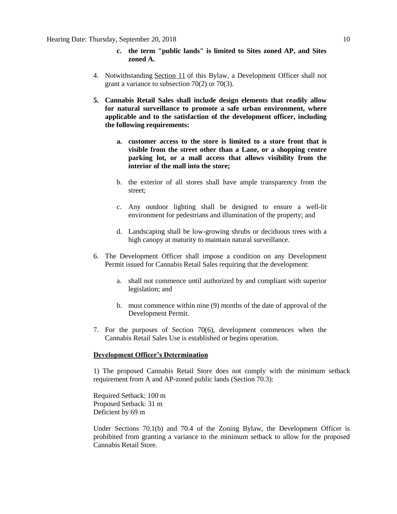- **c. the term "public lands" is limited to Sites zoned AP, and Sites zoned A.**
- 4. Notwithstanding [Section 11](https://webdocs.edmonton.ca/InfraPlan/zoningbylaw/ZoningBylaw/Part1/Administrative/11__Authority_and_Responsibility_of_the_Development_Officer.htm) of this Bylaw, a Development Officer shall not grant a variance to subsection 70(2) or 70(3).
- **5. Cannabis Retail Sales shall include design elements that readily allow for natural surveillance to promote a safe urban environment, where applicable and to the satisfaction of the development officer, including the following requirements:**
	- **a. customer access to the store is limited to a store front that is visible from the street other than a Lane, or a shopping centre parking lot, or a mall access that allows visibility from the interior of the mall into the store;**
	- b. the exterior of all stores shall have ample transparency from the street;
	- c. Any outdoor lighting shall be designed to ensure a well-lit environment for pedestrians and illumination of the property; and
	- d. Landscaping shall be low-growing shrubs or deciduous trees with a high canopy at maturity to maintain natural surveillance.
- 6. The Development Officer shall impose a condition on any Development Permit issued for Cannabis Retail Sales requiring that the development:
	- a. shall not commence until authorized by and compliant with superior legislation; and
	- b. must commence within nine (9) months of the date of approval of the Development Permit.
- 7. For the purposes of Section 70(6), development commences when the Cannabis Retail Sales Use is established or begins operation.

### **Development Officer's Determination**

1) The proposed Cannabis Retail Store does not comply with the minimum setback requirement from A and AP-zoned public lands (Section 70.3):

Required Setback: 100 m Proposed Setback: 31 m Deficient by 69 m

Under Sections 70.1(b) and 70.4 of the Zoning Bylaw, the Development Officer is prohibited from granting a variance to the minimum setback to allow for the proposed Cannabis Retail Store.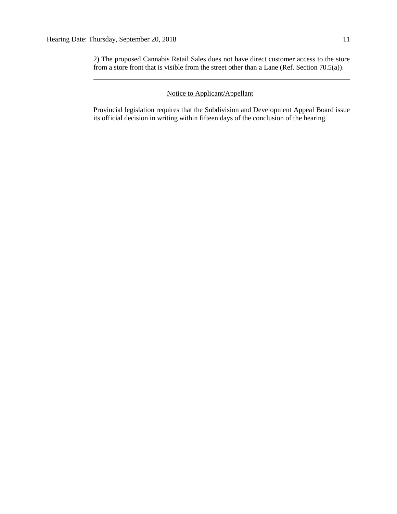2) The proposed Cannabis Retail Sales does not have direct customer access to the store from a store front that is visible from the street other than a Lane (Ref. Section 70.5(a)).

### Notice to Applicant/Appellant

Provincial legislation requires that the Subdivision and Development Appeal Board issue its official decision in writing within fifteen days of the conclusion of the hearing.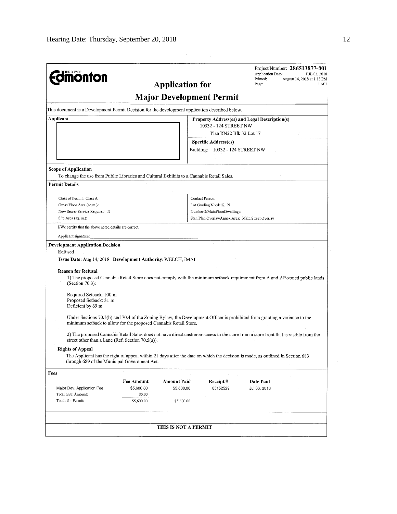| <b>dimonton</b>                                                                                                           |                      | <b>Application for</b>          |                                                    | Project Number: 286513877-001<br>Application Date:<br>JUL 03, 2018<br>Printed:<br>August 14, 2018 at 1:13 PM<br>Page:<br>1 of 1     |
|---------------------------------------------------------------------------------------------------------------------------|----------------------|---------------------------------|----------------------------------------------------|-------------------------------------------------------------------------------------------------------------------------------------|
|                                                                                                                           |                      | <b>Major Development Permit</b> |                                                    |                                                                                                                                     |
| This document is a Development Permit Decision for the development application described below.                           |                      |                                 |                                                    |                                                                                                                                     |
| Applicant                                                                                                                 |                      |                                 |                                                    | Property Address(es) and Legal Description(s)                                                                                       |
|                                                                                                                           |                      |                                 | 10332 - 124 STREET NW                              |                                                                                                                                     |
|                                                                                                                           |                      |                                 | Plan RN22 Blk 32 Lot 17                            |                                                                                                                                     |
|                                                                                                                           |                      |                                 | <b>Specific Address(es)</b>                        |                                                                                                                                     |
|                                                                                                                           |                      |                                 | Building: 10332 - 124 STREET NW                    |                                                                                                                                     |
| <b>Scope of Application</b>                                                                                               |                      |                                 |                                                    |                                                                                                                                     |
| To change the use from Public Libraries and Cultural Exhibits to a Cannabis Retail Sales.                                 |                      |                                 |                                                    |                                                                                                                                     |
| <b>Permit Details</b>                                                                                                     |                      |                                 |                                                    |                                                                                                                                     |
|                                                                                                                           |                      |                                 |                                                    |                                                                                                                                     |
| Class of Permit: Class A<br>Gross Floor Area (sq.m.):                                                                     |                      |                                 | Contact Person:<br>Lot Grading Needed?: N          |                                                                                                                                     |
| New Sewer Service Required: N                                                                                             |                      |                                 | NumberOfMainFloorDwellings:                        |                                                                                                                                     |
| Site Area (sq. m.):                                                                                                       |                      |                                 | Stat, Plan Overlay/Annex Area: Main Street Overlay |                                                                                                                                     |
| I/We certify that the above noted details are correct.                                                                    |                      |                                 |                                                    |                                                                                                                                     |
| Applicant signature:                                                                                                      |                      |                                 |                                                    |                                                                                                                                     |
| <b>Development Application Decision</b><br>Refused<br>Issue Date: Aug 14, 2018 Development Authority: WELCH, IMAI         |                      |                                 |                                                    |                                                                                                                                     |
| <b>Reason for Refusal</b><br>(Section $70.3$ ):<br>Required Setback: 100 m<br>Proposed Setback: 31 m<br>Deficient by 69 m |                      |                                 |                                                    | 1) The proposed Cannabis Retail Store does not comply with the minimum setback requirement from A and AP-zoned public lands         |
| minimum setback to allow for the proposed Cannabis Retail Store.                                                          |                      |                                 |                                                    | Under Sections 70.1(b) and 70.4 of the Zoning Bylaw, the Development Officer is prohibited from granting a variance to the          |
| street other than a Lane (Ref. Section 70.5(a)).                                                                          |                      |                                 |                                                    | 2) The proposed Cannabis Retail Sales does not have direct customer access to the store from a store front that is visible from the |
| <b>Rights of Appeal</b><br>through 689 of the Municipal Government Act.                                                   |                      |                                 |                                                    | The Applicant has the right of appeal within 21 days after the date on which the decision is made, as outlined in Section 683       |
| Fees                                                                                                                      |                      |                                 |                                                    |                                                                                                                                     |
|                                                                                                                           | <b>Fee Amount</b>    | <b>Amount Paid</b>              | Receipt#                                           | Date Paid                                                                                                                           |
| Major Dev. Application Fee                                                                                                | \$5,600.00           | \$5,600.00                      | 05152529                                           | Jul 03, 2018                                                                                                                        |
| Total GST Amount:<br>Totals for Permit:                                                                                   | \$0.00<br>\$5,600.00 | \$5,600.00                      |                                                    |                                                                                                                                     |
|                                                                                                                           |                      |                                 |                                                    |                                                                                                                                     |
|                                                                                                                           |                      | <b>THIS IS NOT A PERMIT</b>     |                                                    |                                                                                                                                     |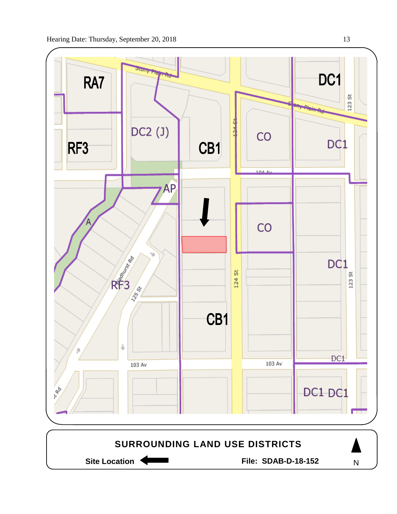

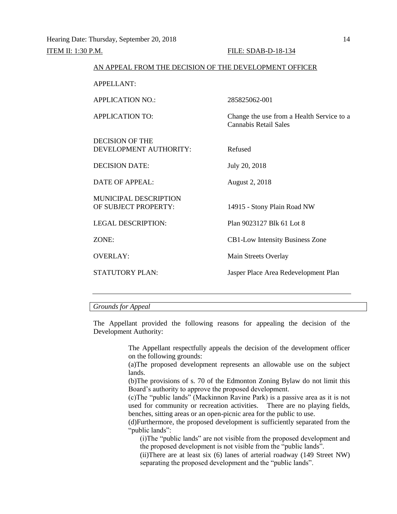| AN APPEAL FROM THE DECISION OF THE DEVELOPMENT OFFICER |                                                                           |
|--------------------------------------------------------|---------------------------------------------------------------------------|
| <b>APPELLANT:</b>                                      |                                                                           |
| <b>APPLICATION NO.:</b>                                | 285825062-001                                                             |
| <b>APPLICATION TO:</b>                                 | Change the use from a Health Service to a<br><b>Cannabis Retail Sales</b> |
| <b>DECISION OF THE</b><br>DEVELOPMENT AUTHORITY:       | Refused                                                                   |
| <b>DECISION DATE:</b>                                  | July 20, 2018                                                             |
| DATE OF APPEAL:                                        | August 2, 2018                                                            |
| <b>MUNICIPAL DESCRIPTION</b><br>OF SUBJECT PROPERTY:   | 14915 - Stony Plain Road NW                                               |
| <b>LEGAL DESCRIPTION:</b>                              | Plan 9023127 Blk 61 Lot 8                                                 |
| ZONE:                                                  | <b>CB1-Low Intensity Business Zone</b>                                    |
| <b>OVERLAY:</b>                                        | Main Streets Overlay                                                      |
| <b>STATUTORY PLAN:</b>                                 | Jasper Place Area Redevelopment Plan                                      |
|                                                        |                                                                           |

### *Grounds for Appeal*

The Appellant provided the following reasons for appealing the decision of the Development Authority:

> The Appellant respectfully appeals the decision of the development officer on the following grounds:

> (a)The proposed development represents an allowable use on the subject lands.

> (b)The provisions of s. 70 of the Edmonton Zoning Bylaw do not limit this Board's authority to approve the proposed development.

> (c)The "public lands" (Mackinnon Ravine Park) is a passive area as it is not used for community or recreation activities. There are no playing fields, benches, sitting areas or an open-picnic area for the public to use.

> (d)Furthermore, the proposed development is sufficiently separated from the "public lands":

(i)The "public lands" are not visible from the proposed development and the proposed development is not visible from the "public lands".

(ii)There are at least six (6) lanes of arterial roadway (149 Street NW) separating the proposed development and the "public lands".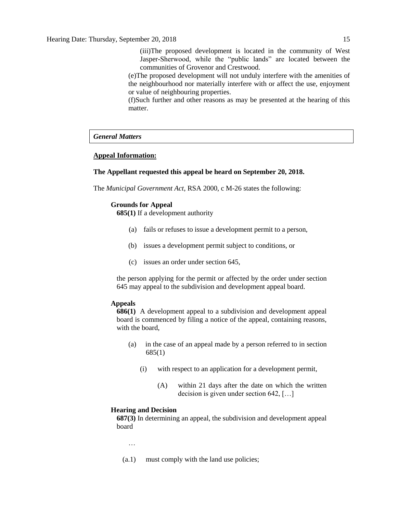(iii)The proposed development is located in the community of West Jasper-Sherwood, while the "public lands" are located between the communities of Grovenor and Crestwood.

(e)The proposed development will not unduly interfere with the amenities of the neighbourhood nor materially interfere with or affect the use, enjoyment or value of neighbouring properties.

(f)Such further and other reasons as may be presented at the hearing of this matter.

### *General Matters*

### **Appeal Information:**

### **The Appellant requested this appeal be heard on September 20, 2018.**

The *Municipal Government Act*, RSA 2000, c M-26 states the following:

### **Grounds for Appeal**

**685(1)** If a development authority

- (a) fails or refuses to issue a development permit to a person,
- (b) issues a development permit subject to conditions, or
- (c) issues an order under section 645,

the person applying for the permit or affected by the order under section 645 may appeal to the subdivision and development appeal board.

### **Appeals**

**686(1)** A development appeal to a subdivision and development appeal board is commenced by filing a notice of the appeal, containing reasons, with the board,

- (a) in the case of an appeal made by a person referred to in section 685(1)
	- (i) with respect to an application for a development permit,
		- (A) within 21 days after the date on which the written decision is given under section 642, […]

### **Hearing and Decision**

**687(3)** In determining an appeal, the subdivision and development appeal board

…

(a.1) must comply with the land use policies;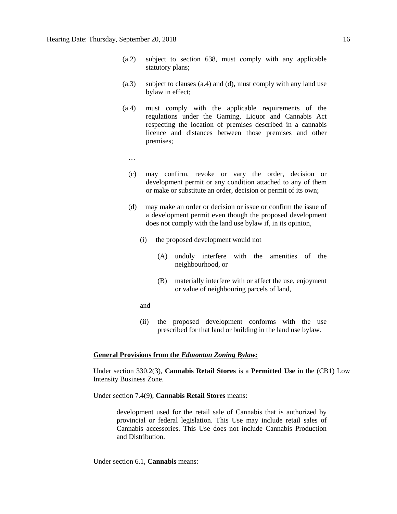- (a.2) subject to section 638, must comply with any applicable statutory plans;
- (a.3) subject to clauses (a.4) and (d), must comply with any land use bylaw in effect;
- (a.4) must comply with the applicable requirements of the regulations under the Gaming, Liquor and Cannabis Act respecting the location of premises described in a cannabis licence and distances between those premises and other premises;
	- …
	- (c) may confirm, revoke or vary the order, decision or development permit or any condition attached to any of them or make or substitute an order, decision or permit of its own;
	- (d) may make an order or decision or issue or confirm the issue of a development permit even though the proposed development does not comply with the land use bylaw if, in its opinion,
		- (i) the proposed development would not
			- (A) unduly interfere with the amenities of the neighbourhood, or
			- (B) materially interfere with or affect the use, enjoyment or value of neighbouring parcels of land,
		- and
		- (ii) the proposed development conforms with the use prescribed for that land or building in the land use bylaw.

### **General Provisions from the** *Edmonton Zoning Bylaw:*

Under section 330.2(3), **Cannabis Retail Stores** is a **Permitted Use** in the (CB1) Low Intensity Business Zone.

Under section 7.4(9), **Cannabis Retail Stores** means:

development used for the retail sale of Cannabis that is authorized by provincial or federal legislation. This Use may include retail sales of Cannabis accessories. This Use does not include Cannabis Production and Distribution.

Under section 6.1, **Cannabis** means: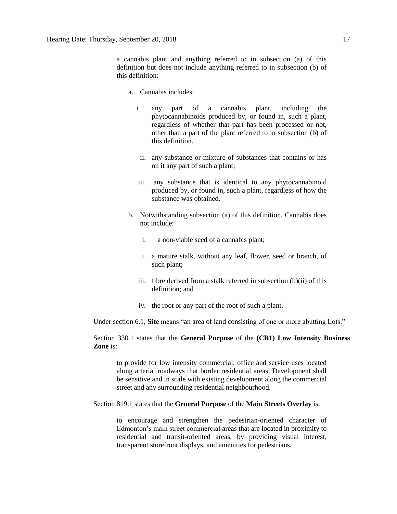a cannabis plant and anything referred to in subsection (a) of this definition but does not include anything referred to in subsection (b) of this definition:

- a. Cannabis includes:
	- i. any part of a cannabis plant, including the phytocannabinoids produced by, or found in, such a plant, regardless of whether that part has been processed or not, other than a part of the plant referred to in subsection (b) of this definition.
	- ii. any substance or mixture of substances that contains or has on it any part of such a plant;
	- iii. any substance that is identical to any phytocannabinoid produced by, or found in, such a plant, regardless of how the substance was obtained.
- b. Notwithstanding subsection (a) of this definition, Cannabis does not include:
	- i. a non-viable seed of a cannabis plant;
	- ii. a mature stalk, without any leaf, flower, seed or branch, of such plant;
	- iii. fibre derived from a stalk referred in subsection (b)(ii) of this definition; and
	- iv. the root or any part of the root of such a plant.

Under section 6.1, **Site** means "an area of land consisting of one or more abutting Lots."

Section 330.1 states that the **General Purpose** of the **(CB1) Low Intensity Business Zone** is:

to provide for low intensity commercial, office and service uses located along arterial roadways that border residential areas. Development shall be sensitive and in scale with existing development along the commercial street and any surrounding residential neighbourhood.

### Section 819.1 states that the **General Purpose** of the **Main Streets Overlay** is:

to encourage and strengthen the pedestrian-oriented character of Edmonton's main street commercial areas that are located in proximity to residential and transit-oriented areas, by providing visual interest, transparent storefront displays, and amenities for pedestrians.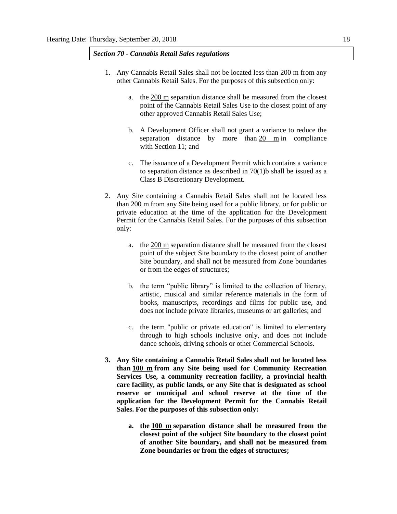### *Section 70 - Cannabis Retail Sales regulations*

- 1. Any Cannabis Retail Sales shall not be located less than 200 m from any other Cannabis Retail Sales. For the purposes of this subsection only:
	- a. the [200 m](javascript:void(0);) separation distance shall be measured from the closest point of the Cannabis Retail Sales Use to the closest point of any other approved Cannabis Retail Sales Use;
	- b. A Development Officer shall not grant a variance to reduce the separation distance by more than [20 m](javascript:void(0);) in compliance with [Section 11;](https://webdocs.edmonton.ca/InfraPlan/zoningbylaw/ZoningBylaw/Part1/Administrative/11__Authority_and_Responsibility_of_the_Development_Officer.htm) and
	- c. The issuance of a Development Permit which contains a variance to separation distance as described in  $70(1)$ b shall be issued as a Class B Discretionary Development.
- 2. Any Site containing a Cannabis Retail Sales shall not be located less than [200 m](javascript:void(0);) from any Site being used for a public library, or for public or private education at the time of the application for the Development Permit for the Cannabis Retail Sales. For the purposes of this subsection only:
	- a. the [200 m](javascript:void(0);) separation distance shall be measured from the closest point of the subject Site boundary to the closest point of another Site boundary, and shall not be measured from Zone boundaries or from the edges of structures;
	- b. the term "public library" is limited to the collection of literary, artistic, musical and similar reference materials in the form of books, manuscripts, recordings and films for public use, and does not include private libraries, museums or art galleries; and
	- c. the term "public or private education" is limited to elementary through to high schools inclusive only, and does not include dance schools, driving schools or other Commercial Schools.
- **3. Any Site containing a Cannabis Retail Sales shall not be located less than [100 m](javascript:void(0);) from any Site being used for Community Recreation Services Use, a community recreation facility, a provincial health care facility, as public lands, or any Site that is designated as school reserve or municipal and school reserve at the time of the application for the Development Permit for the Cannabis Retail Sales. For the purposes of this subsection only:**
	- **a. the [100 m](javascript:void(0);) separation distance shall be measured from the closest point of the subject Site boundary to the closest point of another Site boundary, and shall not be measured from Zone boundaries or from the edges of structures;**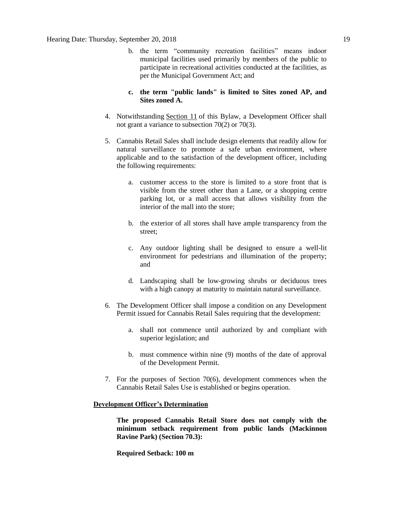- b. the term "community recreation facilities" means indoor municipal facilities used primarily by members of the public to participate in recreational activities conducted at the facilities, as per the Municipal Government Act; and
- **c. the term "public lands" is limited to Sites zoned AP, and Sites zoned A.**
- 4. Notwithstanding [Section 11](https://webdocs.edmonton.ca/InfraPlan/zoningbylaw/ZoningBylaw/Part1/Administrative/11__Authority_and_Responsibility_of_the_Development_Officer.htm) of this Bylaw, a Development Officer shall not grant a variance to subsection 70(2) or 70(3).
- 5. Cannabis Retail Sales shall include design elements that readily allow for natural surveillance to promote a safe urban environment, where applicable and to the satisfaction of the development officer, including the following requirements:
	- a. customer access to the store is limited to a store front that is visible from the street other than a Lane, or a shopping centre parking lot, or a mall access that allows visibility from the interior of the mall into the store;
	- b. the exterior of all stores shall have ample transparency from the street;
	- c. Any outdoor lighting shall be designed to ensure a well-lit environment for pedestrians and illumination of the property; and
	- d. Landscaping shall be low-growing shrubs or deciduous trees with a high canopy at maturity to maintain natural surveillance.
- 6. The Development Officer shall impose a condition on any Development Permit issued for Cannabis Retail Sales requiring that the development:
	- a. shall not commence until authorized by and compliant with superior legislation; and
	- b. must commence within nine (9) months of the date of approval of the Development Permit.
- 7. For the purposes of Section 70(6), development commences when the Cannabis Retail Sales Use is established or begins operation.

### **Development Officer's Determination**

**The proposed Cannabis Retail Store does not comply with the minimum setback requirement from public lands (Mackinnon Ravine Park) (Section 70.3):**

**Required Setback: 100 m**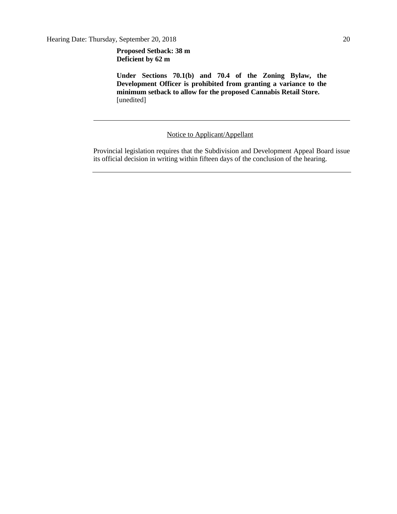**Proposed Setback: 38 m Deficient by 62 m**

**Under Sections 70.1(b) and 70.4 of the Zoning Bylaw, the Development Officer is prohibited from granting a variance to the minimum setback to allow for the proposed Cannabis Retail Store.**  [unedited]

### Notice to Applicant/Appellant

Provincial legislation requires that the Subdivision and Development Appeal Board issue its official decision in writing within fifteen days of the conclusion of the hearing.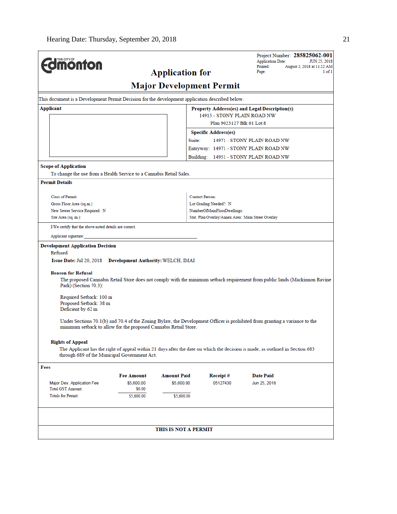|                                                                                                 | Project Number: 285825062-001<br><b>Application Date:</b><br>JUN 25, 2018                                                                                                                                                                                                                                                                                                                  |
|-------------------------------------------------------------------------------------------------|--------------------------------------------------------------------------------------------------------------------------------------------------------------------------------------------------------------------------------------------------------------------------------------------------------------------------------------------------------------------------------------------|
|                                                                                                 | Printed:<br>August 2, 2018 at 11:22 AM<br>Page:<br>1 of 1                                                                                                                                                                                                                                                                                                                                  |
|                                                                                                 |                                                                                                                                                                                                                                                                                                                                                                                            |
|                                                                                                 |                                                                                                                                                                                                                                                                                                                                                                                            |
| This document is a Development Permit Decision for the development application described below. |                                                                                                                                                                                                                                                                                                                                                                                            |
|                                                                                                 | Property Address(es) and Legal Description(s)                                                                                                                                                                                                                                                                                                                                              |
|                                                                                                 | 14915 - STONY PLAIN ROAD NW                                                                                                                                                                                                                                                                                                                                                                |
|                                                                                                 | Plan 9023127 Blk 61 Lot 8                                                                                                                                                                                                                                                                                                                                                                  |
|                                                                                                 |                                                                                                                                                                                                                                                                                                                                                                                            |
|                                                                                                 | 14971 - STONY PLAIN ROAD NW                                                                                                                                                                                                                                                                                                                                                                |
|                                                                                                 | Entryway: 14971 - STONY PLAIN ROAD NW                                                                                                                                                                                                                                                                                                                                                      |
|                                                                                                 | Building: 14951 - STONY PLAIN ROAD NW                                                                                                                                                                                                                                                                                                                                                      |
|                                                                                                 |                                                                                                                                                                                                                                                                                                                                                                                            |
|                                                                                                 |                                                                                                                                                                                                                                                                                                                                                                                            |
|                                                                                                 |                                                                                                                                                                                                                                                                                                                                                                                            |
| <b>Contact Person:</b>                                                                          |                                                                                                                                                                                                                                                                                                                                                                                            |
| Lot Grading Needed?: N                                                                          |                                                                                                                                                                                                                                                                                                                                                                                            |
| NumberOfMainFloorDwellings:                                                                     |                                                                                                                                                                                                                                                                                                                                                                                            |
|                                                                                                 | Stat. Plan Overlay/Annex Area: Main Street Overlay                                                                                                                                                                                                                                                                                                                                         |
|                                                                                                 |                                                                                                                                                                                                                                                                                                                                                                                            |
|                                                                                                 |                                                                                                                                                                                                                                                                                                                                                                                            |
|                                                                                                 | The proposed Cannabis Retail Store does not comply with the minimum setback requirement from public lands (Mackinnon Ravine<br>Under Sections 70.1(b) and 70.4 of the Zoning Bylaw, the Development Officer is prohibited from granting a variance to the<br>The Applicant has the right of appeal within 21 days after the date on which the decision is made, as outlined in Section 683 |
|                                                                                                 |                                                                                                                                                                                                                                                                                                                                                                                            |
|                                                                                                 | <b>Date Paid</b>                                                                                                                                                                                                                                                                                                                                                                           |
| 05127430<br>\$5,600.00                                                                          | Jun 25, 2018                                                                                                                                                                                                                                                                                                                                                                               |
|                                                                                                 |                                                                                                                                                                                                                                                                                                                                                                                            |
| \$5,600.00                                                                                      |                                                                                                                                                                                                                                                                                                                                                                                            |
|                                                                                                 |                                                                                                                                                                                                                                                                                                                                                                                            |
|                                                                                                 |                                                                                                                                                                                                                                                                                                                                                                                            |
| through 689 of the Municipal Government Act.                                                    | <b>Application for</b><br><b>Major Development Permit</b><br><b>Specific Address(es)</b><br>Suite:<br>To change the use from a Health Service to a Cannabis Retail Sales.<br>Issue Date: Jul 20, 2018 Development Authority: WELCH, IMAI<br>minimum setback to allow for the proposed Cannabis Retail Store.<br><b>Amount Paid</b><br>Receipt #                                            |